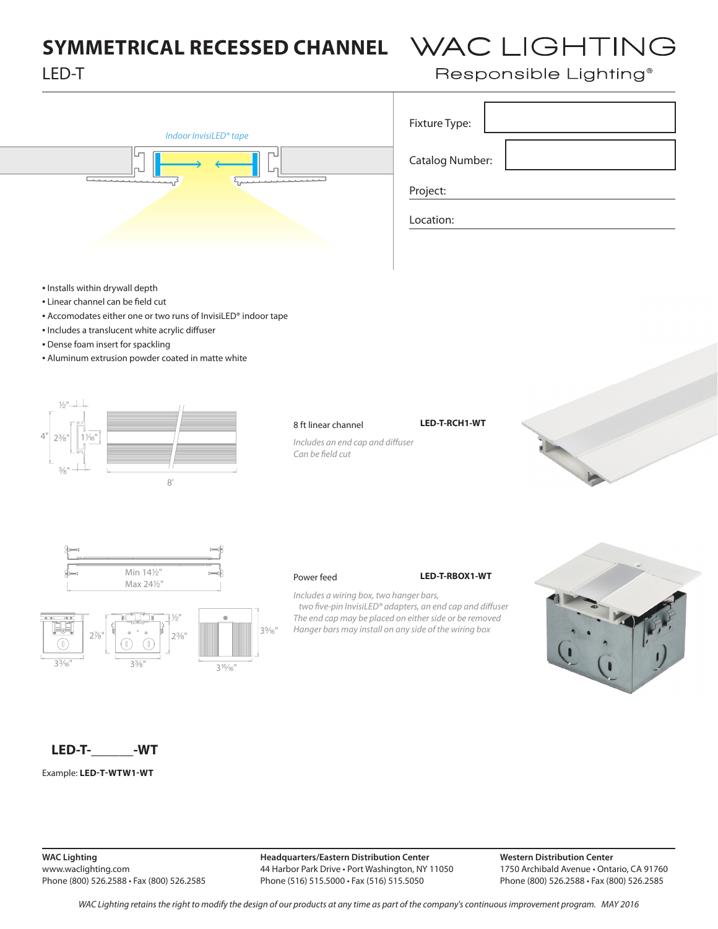# **SYMMETRICAL RECESSED CHANNEL WAC LIGHTING** LED-T



| Responsible Lighting® |  |  |  |  |  |
|-----------------------|--|--|--|--|--|
| Fixture Type:         |  |  |  |  |  |

Catalog Number:

Project:

Location:

- Installs within drywall depth
- Linear channel can be field cut
- Accomodates either one or two runs of InvisiLED® indoor tape
- Includes a translucent white acrylic diffuser
- Dense foam insert for spackling
- Aluminum extrusion powder coated in matte white





Can be field cut

*Includes an end cap and diffuser* 





Power feed **LED-T-RBOX1-WT**

*Includes a wiring box, two hanger bars,*  two five-pin InvisiLED<sup>®</sup> adapters, an end cap and diffuser *The end cap may be placed on either side or be removed Hanger bars may install on any side of the wiring box*



## **LED-T-\_\_\_\_\_\_-WT**

Example: **LED-T-WTW1-WT**

**WAC Lighting** www.waclighting.com Phone (800) 526.2588 • Fax (800) 526.2585 **Headquarters/Eastern Distribution Center** 44 Harbor Park Drive • Port Washington, NY 11050 Phone (516) 515.5000 • Fax (516) 515.5050

**Western Distribution Center**  1750 Archibald Avenue • Ontario, CA 91760 Phone (800) 526.2588 • Fax (800) 526.2585